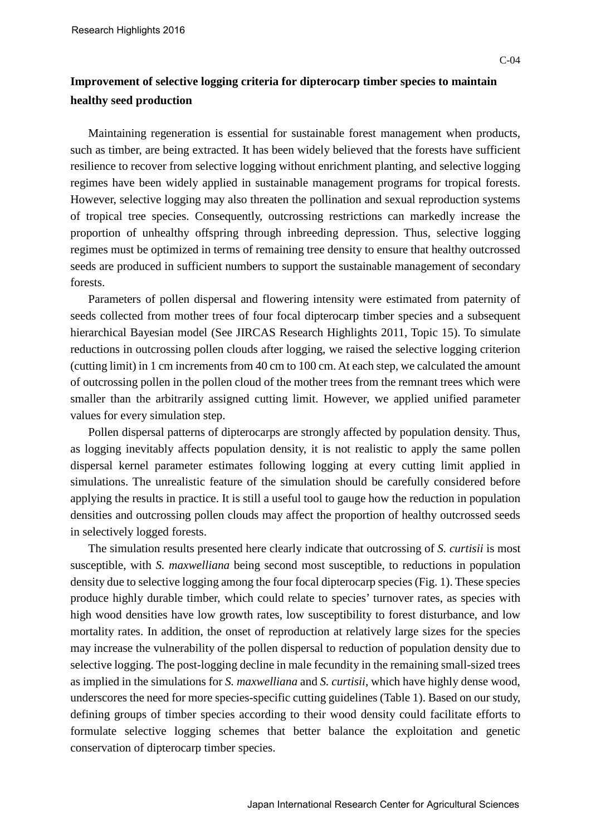## **Improvement of selective logging criteria for dipterocarp timber species to maintain healthy seed production**

Maintaining regeneration is essential for sustainable forest management when products, such as timber, are being extracted. It has been widely believed that the forests have sufficient resilience to recover from selective logging without enrichment planting, and selective logging regimes have been widely applied in sustainable management programs for tropical forests. However, selective logging may also threaten the pollination and sexual reproduction systems of tropical tree species. Consequently, outcrossing restrictions can markedly increase the proportion of unhealthy offspring through inbreeding depression. Thus, selective logging regimes must be optimized in terms of remaining tree density to ensure that healthy outcrossed seeds are produced in sufficient numbers to support the sustainable management of secondary forests.

Parameters of pollen dispersal and flowering intensity were estimated from paternity of seeds collected from mother trees of four focal dipterocarp timber species and a subsequent hierarchical Bayesian model (See JIRCAS Research Highlights 2011, Topic 15). To simulate reductions in outcrossing pollen clouds after logging, we raised the selective logging criterion (cutting limit) in 1 cm increments from 40 cm to 100 cm. At each step, we calculated the amount of outcrossing pollen in the pollen cloud of the mother trees from the remnant trees which were smaller than the arbitrarily assigned cutting limit. However, we applied unified parameter values for every simulation step.

Pollen dispersal patterns of dipterocarps are strongly affected by population density. Thus, as logging inevitably affects population density, it is not realistic to apply the same pollen dispersal kernel parameter estimates following logging at every cutting limit applied in simulations. The unrealistic feature of the simulation should be carefully considered before applying the results in practice. It is still a useful tool to gauge how the reduction in population densities and outcrossing pollen clouds may affect the proportion of healthy outcrossed seeds in selectively logged forests.

The simulation results presented here clearly indicate that outcrossing of *S. curtisii* is most susceptible, with *S. maxwelliana* being second most susceptible, to reductions in population density due to selective logging among the four focal dipterocarp species (Fig. 1). These species produce highly durable timber, which could relate to species' turnover rates, as species with high wood densities have low growth rates, low susceptibility to forest disturbance, and low mortality rates. In addition, the onset of reproduction at relatively large sizes for the species may increase the vulnerability of the pollen dispersal to reduction of population density due to selective logging. The post-logging decline in male fecundity in the remaining small-sized trees as implied in the simulations for *S. maxwelliana* and *S. curtisii*, which have highly dense wood, underscores the need for more species-specific cutting guidelines (Table 1). Based on our study, defining groups of timber species according to their wood density could facilitate efforts to formulate selective logging schemes that better balance the exploitation and genetic conservation of dipterocarp timber species.